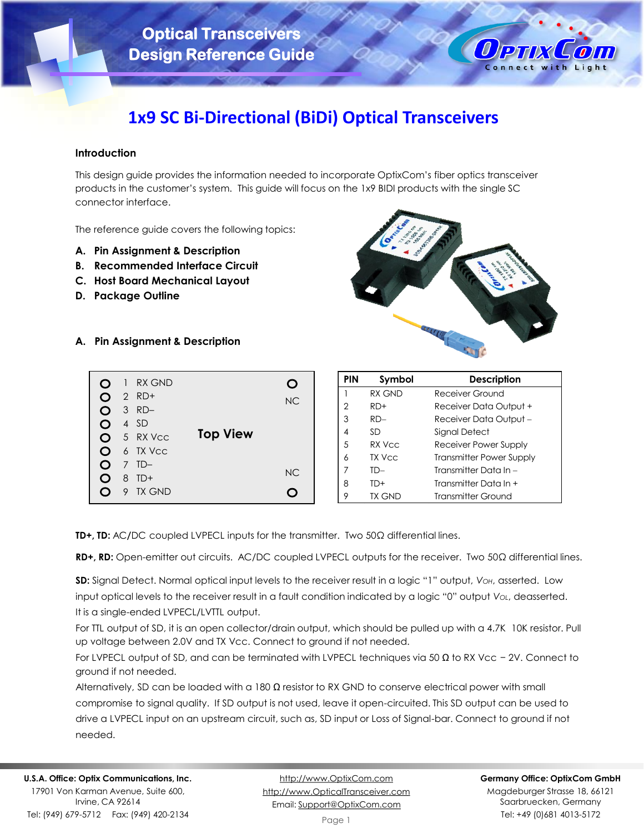

# **1x9 SC Bi-Directional (BiDi) Optical Transceivers**

# **Introduction**

This design guide provides the information needed to incorporate OptixCom's fiber optics transceiver products in the customer's system. This guide will focus on the 1x9 BIDI products with the single SC connector interface.

The reference guide covers the following topics:

- **A. Pin Assignment & Description**
- **B. Recommended Interface Circuit**
- **C. Host Board Mechanical Layout**
- **D. Package Outline**



**A. Pin Assignment & Description**



| <b>PIN</b> | Symbol | <b>Description</b>              |
|------------|--------|---------------------------------|
|            | RX GND | Receiver Ground                 |
| 2          | $RD+$  | Receiver Data Output +          |
| 3          | $RD -$ | Receiver Data Output -          |
| 4          | SD     | Signal Detect                   |
| 5          | RX Vcc | Receiver Power Supply           |
| 6          | TX Vcc | <b>Transmitter Power Supply</b> |
| 7          | TD-    | Transmitter Data In –           |
| 8          | TD+    | Transmitter Data In +           |
| 9          | TX GND | <b>Transmitter Ground</b>       |

**TD+, TD:** AC**/**DC coupled LVPECL inputs for the transmitter. Two 50Ω differential lines.

**RD+, RD:** Open-emitter out circuits. AC/DC coupled LVPECL outputs for the receiver. Two 50Ω differential lines.

**SD:** Signal Detect. Normal optical input levels to the receiver result in a logic "1" output, *VOH*, asserted. Low input optical levels to the receiver result in a fault condition indicated by a logic "0" output *VOL*, deasserted. It is a single-ended LVPECL/LVTTL output.

For TTL output of SD, it is an open collector/drain output, which should be pulled up with a 4.7K 10K resistor. Pull up voltage between 2.0V and TX Vcc. Connect to ground if not needed.

For LVPECL output of SD, and can be terminated with LVPECL techniques via 50 Ω to RX Vcc − 2V. Connect to ground if not needed.

Alternatively, SD can be loaded with a 180  $\Omega$  resistor to RX GND to conserve electrical power with small compromise to signal quality. If SD output is not used, leave it open-circuited. This SD output can be used to drive a LVPECL input on an upstream circuit, such as, SD input or Loss of Signal-bar. Connect to ground if not needed.

Irvine, CA 92614 Tel: (949) 679-5712 Fax: (949) 420-2134

[http://www.OptixCom.com](http://www.optixcom.com/) [http://www.OpticalTransceiver.com](http://www.optoictech.com/) Email: [Support@OptixCom.com](mailto:Support@optoICtech.com)

#### **Germany Office: OptixCom GmbH**

Magdeburger Strasse 18, 66121 Saarbruecken, Germany Tel: +49 (0)681 4013-5172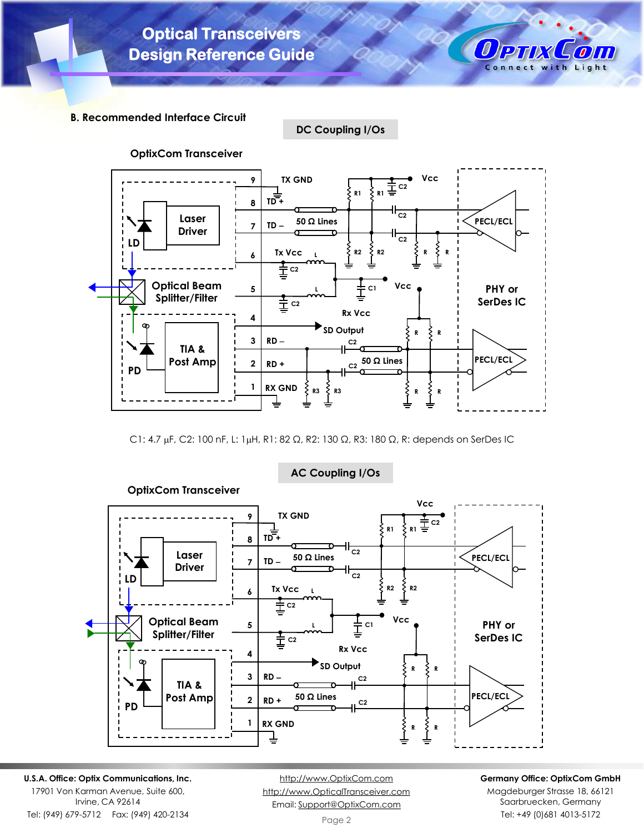

**B. Recommended Interface Circuit**

**DC Coupling I/Os**



C1: 4.7 μF, C2: 100 nF, L: 1μH, R1: 82 Ω, R2: 130 Ω, R3: 180 Ω, R: depends on SerDes IC



**AC Coupling I/Os**

**U.S.A. Office: Optix Communications, Inc.**

17901 Von Karman Avenue, Suite 600, Irvine, CA 92614 Tel: (949) 679-5712 Fax: (949) 420-2134

[http://www.OptixCom.com](http://www.optixcom.com/) [http://www.OpticalTransceiver.com](http://www.optoictech.com/) Email: [Support@OptixCom.com](mailto:Support@optoICtech.com)

## **Germany Office: OptixCom GmbH**

Magdeburger Strasse 18, 66121 Saarbruecken, Germany Tel: +49 (0)681 4013-5172